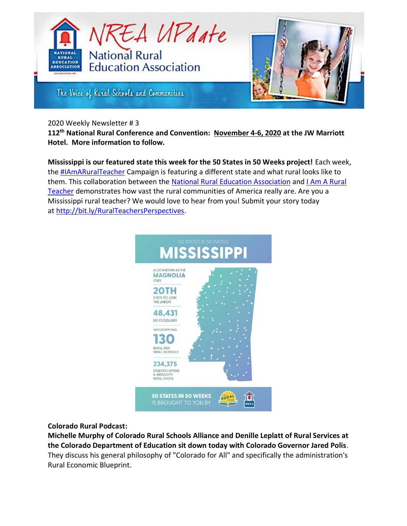

The Voice of Ruzal Schools and Communities

### 2020 Weekly Newsletter # 3

**112th National Rural Conference and Convention: November 4-6, 2020 at the JW Marriott Hotel. More information to follow.**

**Mississippi is our featured state this week for the 50 States in 50 Weeks project!** Each week, the [#IAmARuralTeacher](https://www.facebook.com/hashtag/iamaruralteacher?source=feed_text&epa=HASHTAG&__xts__%5B0%5D=68.ARDZQbsuBph95tsPfW7eS9eL3nNUGlXAElX7iL-8k8H2Ceut-Zqdj4h4Yly1wVRKDWvQzJKC9CjTCGBKi_xOB9Fj6Gvg0wLzvH2V5s-Zjgf7SKPVj2WpZomAC7TPIc--xgsE3xjCACm2YGjUrllyRVxVZWAxqhiQDtKJZx5nxeecuRMvCbn0V3ah9B_raIXObuDRqrOLNDpmKIOuBIoSPo03Lctl7cw9jRm0JJf5001-gjGK_KcP0JV-a_VUoGGYACqL67c3ylDjHzwE14Wy7K603mtVormbMM3t6AEwLLyu2dXmw_jaP3lKA7GK-auapCDV36v41mntR1BHisMr0fTdljzy2Uq52ycMtb-RwPmifcHlZoY4rhOMU6yHFi0watduwWbMw6eLnJp6DT0ipApnqRFA9TWNstF8g5KQcmz5EJHpzckmEPQbknrR5xd-DDsoyIxN6MehL6vyF-u47nHPCaXVVwsyK2RuCWrVxLxzktDNUvVGFQ&__tn__=%2ANK-R) Campaign is featuring a different state and what rural looks like to them. This collaboration between the [National Rural Education Association](https://www.facebook.com/nrea1907/?__tn__=K-R&eid=ARCfgbg5PSO5Ta9nDhNPbHvvlQaQZy0KHIoFxeH7VCBjXhnu8S9Vw7o9vyhcfjeK6fbpOeNfFxoQohq8&fref=mentions&__xts__%5B0%5D=68.ARDZQbsuBph95tsPfW7eS9eL3nNUGlXAElX7iL-8k8H2Ceut-Zqdj4h4Yly1wVRKDWvQzJKC9CjTCGBKi_xOB9Fj6Gvg0wLzvH2V5s-Zjgf7SKPVj2WpZomAC7TPIc--xgsE3xjCACm2YGjUrllyRVxVZWAxqhiQDtKJZx5nxeecuRMvCbn0V3ah9B_raIXObuDRqrOLNDpmKIOuBIoSPo03Lctl7cw9jRm0JJf5001-gjGK_KcP0JV-a_VUoGGYACqL67c3ylDjHzwE14Wy7K603mtVormbMM3t6AEwLLyu2dXmw_jaP3lKA7GK-auapCDV36v41mntR1BHisMr0fTdljzy2Uq52ycMtb-RwPmifcHlZoY4rhOMU6yHFi0watduwWbMw6eLnJp6DT0ipApnqRFA9TWNstF8g5KQcmz5EJHpzckmEPQbknrR5xd-DDsoyIxN6MehL6vyF-u47nHPCaXVVwsyK2RuCWrVxLxzktDNUvVGFQ) and I Am A Rural [Teacher](https://www.facebook.com/IAARTCampaign/?__tn__=K-R&eid=ARAbltj5spFEr8a12bnA4WBjioWtO4SpwMbMvYSPREIuwcoJUlLdpECT-CJ1SQw3Ep3QrpO9j7clXPl2&fref=mentions&__xts__%5B0%5D=68.ARDZQbsuBph95tsPfW7eS9eL3nNUGlXAElX7iL-8k8H2Ceut-Zqdj4h4Yly1wVRKDWvQzJKC9CjTCGBKi_xOB9Fj6Gvg0wLzvH2V5s-Zjgf7SKPVj2WpZomAC7TPIc--xgsE3xjCACm2YGjUrllyRVxVZWAxqhiQDtKJZx5nxeecuRMvCbn0V3ah9B_raIXObuDRqrOLNDpmKIOuBIoSPo03Lctl7cw9jRm0JJf5001-gjGK_KcP0JV-a_VUoGGYACqL67c3ylDjHzwE14Wy7K603mtVormbMM3t6AEwLLyu2dXmw_jaP3lKA7GK-auapCDV36v41mntR1BHisMr0fTdljzy2Uq52ycMtb-RwPmifcHlZoY4rhOMU6yHFi0watduwWbMw6eLnJp6DT0ipApnqRFA9TWNstF8g5KQcmz5EJHpzckmEPQbknrR5xd-DDsoyIxN6MehL6vyF-u47nHPCaXVVwsyK2RuCWrVxLxzktDNUvVGFQ) demonstrates how vast the rural communities of America really are. Are you a Mississippi rural teacher? We would love to hear from you! Submit your story today at [http://bit.ly/RuralTeachersPerspectives.](http://bit.ly/RuralTeachersPerspectives)



# **Colorado Rural Podcast:**

**Michelle Murphy of Colorado Rural Schools Alliance and Denille Leplatt of Rural Services at the Colorado Department of Education sit down today with Colorado Governor Jared Polis**. They discuss his general philosophy of "Colorado for All" and specifically the administration's Rural Economic Blueprint.